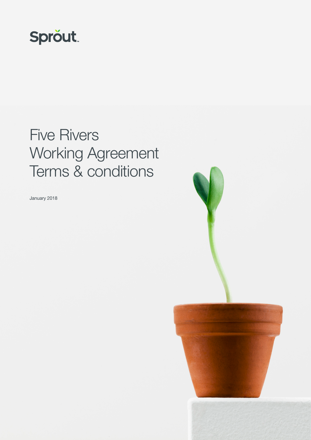

# Five Rivers Working Agreement Terms & conditions

January 2018



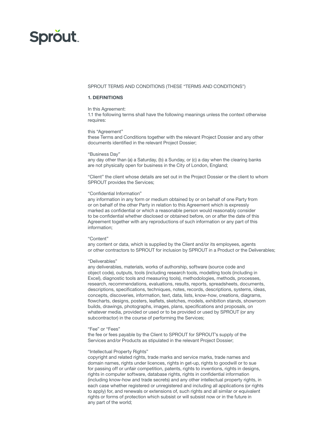## **Sprout**

## SPROUT TERMS AND CONDITIONS (THESE "TERMS AND CONDITIONS")

#### 1. DEFINITIONS

## In this Agreement:

1.1 the following terms shall have the following meanings unless the context otherwise requires:

#### this "Agreement"

these Terms and Conditions together with the relevant Project Dossier and any other documents identified in the relevant Project Dossier;

#### "Business Day"

any day other than (a) a Saturday, (b) a Sunday, or (c) a day when the clearing banks are not physically open for business in the City of London, England;

"Client" the client whose details are set out in the Project Dossier or the client to whom SPROUT provides the Services;

#### "Confidential Information"

any information in any form or medium obtained by or on behalf of one Party from or on behalf of the other Party in relation to this Agreement which is expressly marked as confidential or which a reasonable person would reasonably consider to be confidential whether disclosed or obtained before, on or after the date of this Agreement together with any reproductions of such information or any part of this information;

#### "Content"

any content or data, which is supplied by the Client and/or its employees, agents or other contractors to SPROUT for inclusion by SPROUT in a Product or the Deliverables;

#### "Deliverables"

any deliverables, materials, works of authorship, software (source code and object code), outputs, tools (including research tools, modelling tools (including in Excel), diagnostic tools and measuring tools), methodologies, methods, processes, research, recommendations, evaluations, results, reports, spreadsheets, documents, descriptions, specifications, techniques, notes, records, descriptions, systems, ideas, concepts, discoveries, information, text, data, lists, know-how, creations, diagrams, flowcharts, designs, posters, leaflets, sketches, models, exhibition stands, showroom builds, drawings, photographs, images, plans, specifications and proposals, on whatever media, provided or used or to be provided or used by SPROUT (or any subcontractor) in the course of performing the Services;

#### "Fee" or "Fees"

the fee or fees payable by the Client to SPROUT for SPROUT's supply of the Services and/or Products as stipulated in the relevant Project Dossier;

#### "Intellectual Property Rights"

copyright and related rights, trade marks and service marks, trade names and domain names, rights under licences, rights in get-up, rights to goodwill or to sue for passing off or unfair competition, patents, rights to inventions, rights in designs, rights in computer software, database rights, rights in confidential information (including know-how and trade secrets) and any other intellectual property rights, in each case whether registered or unregistered and including all applications (or rights to apply) for, and renewals or extensions of, such rights and all similar or equivalent rights or forms of protection which subsist or will subsist now or in the future in any part of the world;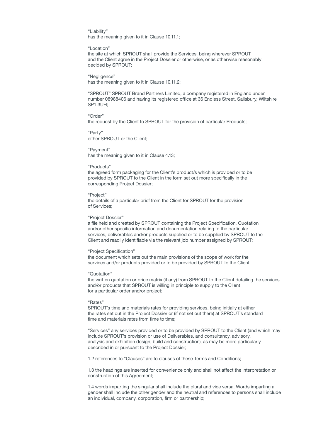"Liability" has the meaning given to it in Clause 10.11.1;

"Location"

the site at which SPROUT shall provide the Services, being wherever SPROUT and the Client agree in the Project Dossier or otherwise, or as otherwise reasonably decided by SPROUT;

"Negligence"

has the meaning given to it in Clause 10.11.2;

"SPROUT" SPROUT Brand Partners Limited, a company registered in England under number 08988406 and having its registered office at 36 Endless Street, Salisbury, Wiltshire SP1 3UH;

#### "Order"

the request by the Client to SPROUT for the provision of particular Products;

"Party" either SPROUT or the Client;

"Payment" has the meaning given to it in Clause 4.13;

#### "Products"

the agreed form packaging for the Client's product/s which is provided or to be provided by SPROUT to the Client in the form set out more specifically in the corresponding Project Dossier;

#### "Project"

the details of a particular brief from the Client for SPROUT for the provision of Services;

#### "Project Dossier"

a file held and created by SPROUT containing the Project Specification, Quotation and/or other specific information and documentation relating to the particular services, deliverables and/or products supplied or to be supplied by SPROUT to the Client and readily identifiable via the relevant job number assigned by SPROUT;

#### "Project Specification"

the document which sets out the main provisions of the scope of work for the services and/or products provided or to be provided by SPROUT to the Client;

#### "Quotation"

the written quotation or price matrix (if any) from SPROUT to the Client detailing the services and/or products that SPROUT is willing in principle to supply to the Client for a particular order and/or project;

#### "Rates"

SPROUT's time and materials rates for providing services, being initially at either the rates set out in the Project Dossier or (if not set out there) at SPROUT's standard time and materials rates from time to time;

"Services" any services provided or to be provided by SPROUT to the Client (and which may include SPROUT's provision or use of Deliverables, and consultancy, advisory, analysis and exhibition design, build and construction), as may be more particularly described in or pursuant to the Project Dossier;

1.2 references to "Clauses" are to clauses of these Terms and Conditions;

1.3 the headings are inserted for convenience only and shall not affect the interpretation or construction of this Agreement;

1.4 words imparting the singular shall include the plural and vice versa. Words imparting a gender shall include the other gender and the neutral and references to persons shall include an individual, company, corporation, firm or partnership;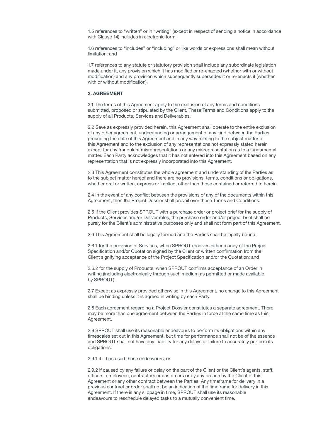1.5 references to "written" or in "writing" (except in respect of sending a notice in accordance with Clause 14) includes in electronic form;

1.6 references to "includes" or "including" or like words or expressions shall mean without limitation; and

1.7 references to any statute or statutory provision shall include any subordinate legislation made under it, any provision which it has modified or re-enacted (whether with or without modification) and any provision which subsequently supersedes it or re-enacts it (whether with or without modification).

#### 2. AGREEMENT

2.1 The terms of this Agreement apply to the exclusion of any terms and conditions submitted, proposed or stipulated by the Client. These Terms and Conditions apply to the supply of all Products, Services and Deliverables.

2.2 Save as expressly provided herein, this Agreement shall operate to the entire exclusion of any other agreement, understanding or arrangement of any kind between the Parties preceding the date of this Agreement and in any way relating to the subject matter of this Agreement and to the exclusion of any representations not expressly stated herein except for any fraudulent misrepresentations or any misrepresentation as to a fundamental matter. Each Party acknowledges that it has not entered into this Agreement based on any representation that is not expressly incorporated into this Agreement.

2.3 This Agreement constitutes the whole agreement and understanding of the Parties as to the subject matter hereof and there are no provisions, terms, conditions or obligations, whether oral or written, express or implied, other than those contained or referred to herein.

2.4 In the event of any conflict between the provisions of any of the documents within this Agreement, then the Project Dossier shall prevail over these Terms and Conditions.

2.5 If the Client provides SPROUT with a purchase order or project brief for the supply of Products, Services and/or Deliverables, the purchase order and/or project brief shall be purely for the Client's administrative purposes only and shall not form part of this Agreement.

2.6 This Agreement shall be legally formed and the Parties shall be legally bound:

2.6.1 for the provision of Services, when SPROUT receives either a copy of the Project Specification and/or Quotation signed by the Client or written confirmation from the Client signifying acceptance of the Project Specification and/or the Quotation; and

2.6.2 for the supply of Products, when SPROUT confirms acceptance of an Order in writing (including electronically through such medium as permitted or made available by SPROUT).

2.7 Except as expressly provided otherwise in this Agreement, no change to this Agreement shall be binding unless it is agreed in writing by each Party.

2.8 Each agreement regarding a Project Dossier constitutes a separate agreement. There may be more than one agreement between the Parties in force at the same time as this Agreement.

2.9 SPROUT shall use its reasonable endeavours to perform its obligations within any timescales set out in this Agreement, but time for performance shall not be of the essence and SPROUT shall not have any Liability for any delays or failure to accurately perform its obligations:

2.9.1 if it has used those endeavours; or

2.9.2 if caused by any failure or delay on the part of the Client or the Client's agents, staff, officers, employees, contractors or customers or by any breach by the Client of this Agreement or any other contract between the Parties. Any timeframe for delivery in a previous contract or order shall not be an indication of the timeframe for delivery in this Agreement. If there is any slippage in time, SPROUT shall use its reasonable endeavours to reschedule delayed tasks to a mutually convenient time.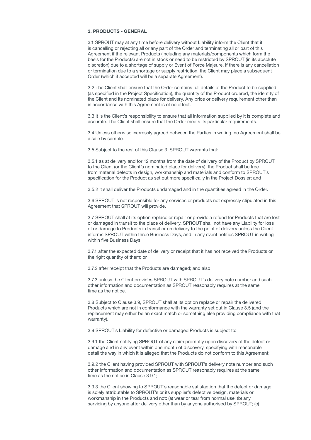## 3. PRODUCTS - GENERAL

3.1 SPROUT may at any time before delivery without Liability inform the Client that it is cancelling or rejecting all or any part of the Order and terminating all or part of this Agreement if the relevant Products (including any materials/components which form the basis for the Products) are not in stock or need to be restricted by SPROUT (in its absolute discretion) due to a shortage of supply or Event of Force Majeure. If there is any cancellation or termination due to a shortage or supply restriction, the Client may place a subsequent Order (which if accepted will be a separate Agreement).

3.2 The Client shall ensure that the Order contains full details of the Product to be supplied (as specified in the Project Specification), the quantity of the Product ordered, the identity of the Client and its nominated place for delivery. Any price or delivery requirement other than in accordance with this Agreement is of no effect.

3.3 It is the Client's responsibility to ensure that all information supplied by it is complete and accurate. The Client shall ensure that the Order meets its particular requirements.

3.4 Unless otherwise expressly agreed between the Parties in writing, no Agreement shall be a sale by sample.

3.5 Subject to the rest of this Clause 3, SPROUT warrants that:

3.5.1 as at delivery and for 12 months from the date of delivery of the Product by SPROUT to the Client (or the Client's nominated place for delivery), the Product shall be free from material defects in design, workmanship and materials and conform to SPROUT's specification for the Product as set out more specifically in the Project Dossier; and

3.5.2 it shall deliver the Products undamaged and in the quantities agreed in the Order.

3.6 SPROUT is not responsible for any services or products not expressly stipulated in this Agreement that SPROUT will provide.

3.7 SPROUT shall at its option replace or repair or provide a refund for Products that are lost or damaged in transit to the place of delivery. SPROUT shall not have any Liability for loss of or damage to Products in transit or on delivery to the point of delivery unless the Client informs SPROUT within three Business Days, and in any event notifies SPROUT in writing within five Business Days:

3.7.1 after the expected date of delivery or receipt that it has not received the Products or the right quantity of them; or

3.7.2 after receipt that the Products are damaged; and also

3.7.3 unless the Client provides SPROUT with SPROUT's delivery note number and such other information and documentation as SPROUT reasonably requires at the same time as the notice.

3.8 Subject to Clause 3.9, SPROUT shall at its option replace or repair the delivered Products which are not in conformance with the warranty set out in Clause 3.5 (and the replacement may either be an exact match or something else providing compliance with that warranty).

3.9 SPROUT's Liability for defective or damaged Products is subject to:

3.9.1 the Client notifying SPROUT of any claim promptly upon discovery of the defect or damage and in any event within one month of discovery, specifying with reasonable detail the way in which it is alleged that the Products do not conform to this Agreement;

3.9.2 the Client having provided SPROUT with SPROUT's delivery note number and such other information and documentation as SPROUT reasonably requires at the same time as the notice in Clause 3.9.1;

3.9.3 the Client showing to SPROUT's reasonable satisfaction that the defect or damage is solely attributable to SPROUT's or its supplier's defective design, materials or workmanship in the Products and not: (a) wear or tear from normal use; (b) any servicing by anyone after delivery other than by anyone authorised by SPROUT; (c)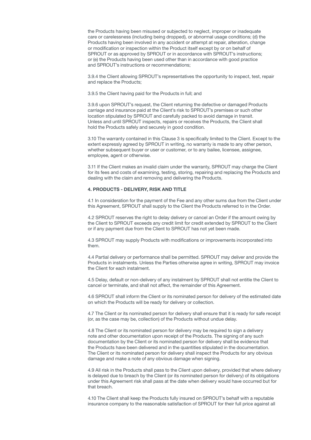the Products having been misused or subjected to neglect, improper or inadequate care or carelessness (including being dropped), or abnormal usage conditions; (d) the Products having been involved in any accident or attempt at repair, alteration, change or modification or inspection within the Product itself except by or on behalf of SPROUT or as approved by SPROUT or in accordance with SPROUT's instructions; or (e) the Products having been used other than in accordance with good practice and SPROUT's instructions or recommendations;

3.9.4 the Client allowing SPROUT's representatives the opportunity to inspect, test, repair and replace the Products;

3.9.5 the Client having paid for the Products in full; and

3.9.6 upon SPROUT's request, the Client returning the defective or damaged Products carriage and insurance paid at the Client's risk to SPROUT's premises or such other location stipulated by SPROUT and carefully packed to avoid damage in transit. Unless and until SPROUT inspects, repairs or receives the Products, the Client shall hold the Products safely and securely in good condition.

3.10 The warranty contained in this Clause 3 is specifically limited to the Client. Except to the extent expressly agreed by SPROUT in writing, no warranty is made to any other person, whether subsequent buyer or user or customer, or to any bailee, licensee, assignee, employee, agent or otherwise.

3.11 If the Client makes an invalid claim under the warranty, SPROUT may charge the Client for its fees and costs of examining, testing, storing, repairing and replacing the Products and dealing with the claim and removing and delivering the Products.

## 4. PRODUCTS - DELIVERY, RISK AND TITLE

4.1 In consideration for the payment of the Fee and any other sums due from the Client under this Agreement, SPROUT shall supply to the Client the Products referred to in the Order.

4.2 SPROUT reserves the right to delay delivery or cancel an Order if the amount owing by the Client to SPROUT exceeds any credit limit for credit extended by SPROUT to the Client or if any payment due from the Client to SPROUT has not yet been made.

4.3 SPROUT may supply Products with modifications or improvements incorporated into them.

4.4 Partial delivery or performance shall be permitted. SPROUT may deliver and provide the Products in instalments. Unless the Parties otherwise agree in writing, SPROUT may invoice the Client for each instalment.

4.5 Delay, default or non-delivery of any instalment by SPROUT shall not entitle the Client to cancel or terminate, and shall not affect, the remainder of this Agreement.

4.6 SPROUT shall inform the Client or its nominated person for delivery of the estimated date on which the Products will be ready for delivery or collection.

4.7 The Client or its nominated person for delivery shall ensure that it is ready for safe receipt (or, as the case may be, collection) of the Products without undue delay.

4.8 The Client or its nominated person for delivery may be required to sign a delivery note and other documentation upon receipt of the Products. The signing of any such documentation by the Client or its nominated person for delivery shall be evidence that the Products have been delivered and in the quantities stipulated in the documentation. The Client or its nominated person for delivery shall inspect the Products for any obvious damage and make a note of any obvious damage when signing.

4.9 All risk in the Products shall pass to the Client upon delivery, provided that where delivery is delayed due to breach by the Client (or its nominated person for delivery) of its obligations under this Agreement risk shall pass at the date when delivery would have occurred but for that breach.

4.10 The Client shall keep the Products fully insured on SPROUT's behalf with a reputable insurance company to the reasonable satisfaction of SPROUT for their full price against all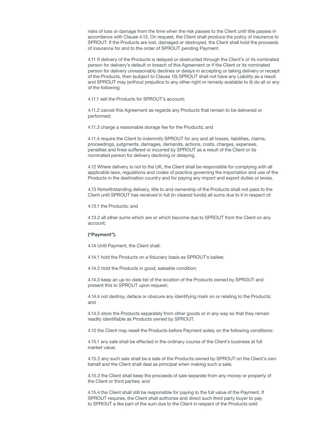risks of loss or damage from the time when the risk passes to the Client until title passes in accordance with Clause 4.13. On request, the Client shall produce the policy of insurance to SPROUT. If the Products are lost, damaged or destroyed, the Client shall hold the proceeds of insurance for and to the order of SPROUT pending Payment.

4.11 If delivery of the Products is delayed or obstructed through the Client's or its nominated person for delivery's default or breach of this Agreement or if the Client or its nominated person for delivery unreasonably declines or delays in accepting or taking delivery or receipt of the Products, then (subject to Clause 10) SPROUT shall not have any Liability as a result and SPROUT may (without prejudice to any other right or remedy available to it) do all or any of the following:

4.11.1 sell the Products for SPROUT's account;

4.11.2 cancel this Agreement as regards any Products that remain to be delivered or performed;

4.11.3 charge a reasonable storage fee for the Products; and

4.11.4 require the Client to indemnify SPROUT for any and all losses, liabilities, claims, proceedings, judgments, damages, demands, actions, costs, charges, expenses, penalties and fines suffered or incurred by SPROUT as a result of the Client or its nominated person for delivery declining or delaying.

4.12 Where delivery is not to the UK, the Client shall be responsible for complying with all applicable laws, regulations and codes of practice governing the importation and use of the Products in the destination country and for paying any import and export duties or levies.

4.13 Notwithstanding delivery, title to and ownership of the Products shall not pass to the Client until SPROUT has received in full (in cleared funds) all sums due to it in respect of:

4.13.1 the Products; and

4.13.2 all other sums which are or which become due to SPROUT from the Client on any account;

#### ("Payment").

4.14 Until Payment, the Client shall:

4.14.1 hold the Products on a fiduciary basis as SPROUT's bailee;

4.14.2 hold the Products in good, saleable condition;

4.14.3 keep an up-to-date list of the location of the Products owned by SPROUT and present this to SPROUT upon request;

4.14.4 not destroy, deface or obscure any identifying mark on or relating to the Products; and

4.14.5 store the Products separately from other goods or in any way so that they remain readily identifiable as Products owned by SPROUT.

4.15 the Client may resell the Products before Payment solely on the following conditions:

4.15.1 any sale shall be effected in the ordinary course of the Client's business at full market value;

4.15.2 any such sale shall be a sale of the Products owned by SPROUT on the Client's own behalf and the Client shall deal as principal when making such a sale;

4.15.3 the Client shall keep the proceeds of sale separate from any money or property of the Client or third parties; and

4.15.4 the Client shall still be responsible for paying to the full value of the Payment. If SPROUT requires, the Client shall authorise and direct such third party buyer to pay to SPROUT a like part of the sum due to the Client in respect of the Products sold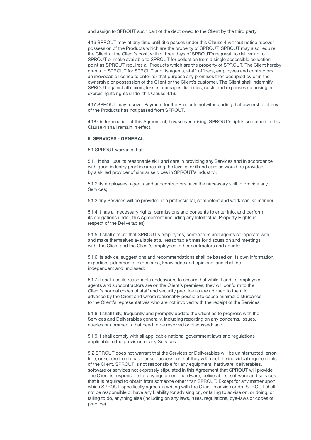and assign to SPROUT such part of the debt owed to the Client by the third party.

4.16 SPROUT may at any time until title passes under this Clause 4 without notice recover possession of the Products which are the property of SPROUT. SPROUT may also require the Client at the Client's cost, within three days of SPROUT's request, to deliver up to SPROUT or make available to SPROUT for collection from a single accessible collection point as SPROUT requires all Products which are the property of SPROUT. The Client hereby grants to SPROUT for SPROUT and its agents, staff, officers, employees and contractors an irrevocable licence to enter for that purpose any premises then occupied by or in the ownership or possession of the Client or the Client's customer. The Client shall indemnify SPROUT against all claims, losses, damages, liabilities, costs and expenses so arising in exercising its rights under this Clause 4.16.

4.17 SPROUT may recover Payment for the Products notwithstanding that ownership of any of the Products has not passed from SPROUT.

4.18 On termination of this Agreement, howsoever arising, SPROUT's rights contained in this Clause 4 shall remain in effect.

## 5. SERVICES - GENERAL

5.1 SPROUT warrants that:

5.1.1 it shall use its reasonable skill and care in providing any Services and in accordance with good industry practice (meaning the level of skill and care as would be provided by a skilled provider of similar services in SPROUT's industry);

5.1.2 its employees, agents and subcontractors have the necessary skill to provide any Services;

5.1.3 any Services will be provided in a professional, competent and workmanlike manner;

5.1.4 it has all necessary rights, permissions and consents to enter into, and perform its obligations under, this Agreement (including any Intellectual Property Rights in respect of the Deliverables);

5.1.5 it shall ensure that SPROUT's employees, contractors and agents co-operate with, and make themselves available at all reasonable times for discussion and meetings with, the Client and the Client's employees, other contractors and agents;

5.1.6 its advice, suggestions and recommendations shall be based on its own information. expertise, judgements, experience, knowledge and opinions, and shall be independent and unbiased;

5.1.7 it shall use its reasonable endeavours to ensure that while it and its employees, agents and subcontractors are on the Client's premises, they will conform to the Client's normal codes of staff and security practice as are advised to them in advance by the Client and where reasonably possible to cause minimal disturbance to the Client's representatives who are not involved with the receipt of the Services;

5.1.8 it shall fully, frequently and promptly update the Client as to progress with the Services and Deliverables generally, including reporting on any concerns, issues, queries or comments that need to be resolved or discussed; and

5.1.9 it shall comply with all applicable national government laws and regulations applicable to the provision of any Services.

5.2 SPROUT does not warrant that the Services or Deliverables will be uninterrupted, errorfree, or secure from unauthorised access, or that they will meet the individual requirements of the Client. SPROUT is not responsible for any equipment, hardware, deliverables, software or services not expressly stipulated in this Agreement that SPROUT will provide. The Client is responsible for any equipment, hardware, deliverables, software and services that it is required to obtain from someone other than SPROUT. Except for any matter upon which SPROUT specifically agrees in writing with the Client to advise or do, SPROUT shall not be responsible or have any Liability for advising on, or failing to advise on, or doing, or failing to do, anything else (including on any laws, rules, regulations, bye-laws or codes of practice).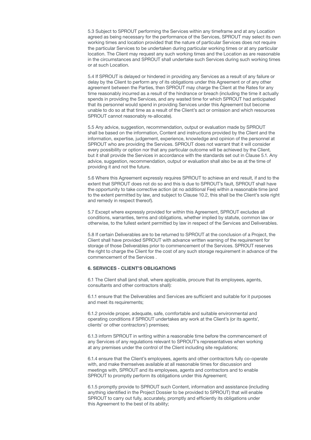5.3 Subject to SPROUT performing the Services within any timeframe and at any Location agreed as being necessary for the performance of the Services, SPROUT may select its own working times and location provided that the nature of particular Services does not require the particular Services to be undertaken during particular working times or at any particular location. The Client may request any such working times and the Location as are reasonable in the circumstances and SPROUT shall undertake such Services during such working times or at such Location.

5.4 If SPROUT is delayed or hindered in providing any Services as a result of any failure or delay by the Client to perform any of its obligations under this Agreement or of any other agreement between the Parties, then SPROUT may charge the Client at the Rates for any time reasonably incurred as a result of the hindrance or breach (including the time it actually spends in providing the Services, and any wasted time for which SPROUT had anticipated that its personnel would spend in providing Services under this Agreement but become unable to do so at that time as a result of the Client's act or omission and which resources SPROUT cannot reasonably re-allocate).

5.5 Any advice, suggestion, recommendation, output or evaluation made by SPROUT shall be based on the information, Content and instructions provided by the Client and the information, expertise, judgement, experience, knowledge and opinion of the personnel at SPROUT who are providing the Services. SPROUT does not warrant that it will consider every possibility or option nor that any particular outcome will be achieved by the Client, but it shall provide the Services in accordance with the standards set out in Clause 5.1. Any advice, suggestion, recommendation, output or evaluation shall also be as at the time of providing it and not the future.

5.6 Where this Agreement expressly requires SPROUT to achieve an end result, if and to the extent that SPROUT does not do so and this is due to SPROUT's fault, SPROUT shall have the opportunity to take corrective action (at no additional Fee) within a reasonable time (and to the extent permitted by law, and subject to Clause 10.2, this shall be the Client's sole right and remedy in respect thereof).

5.7 Except where expressly provided for within this Agreement, SPROUT excludes all conditions, warranties, terms and obligations, whether implied by statute, common law or otherwise, to the fullest extent permitted by law in respect of the Services and Deliverables.

5.8 If certain Deliverables are to be returned to SPROUT at the conclusion of a Project, the Client shall have provided SPROUT with advance written warning of the requirement for storage of those Deliverables prior to commencement of the Services. SPROUT reserves the right to charge the Client for the cost of any such storage requirement in advance of the commencement of the Services .

## 6. SERVICES - CLIENT'S OBLIGATIONS

6.1 The Client shall (and shall, where applicable, procure that its employees, agents, consultants and other contractors shall):

6.1.1 ensure that the Deliverables and Services are sufficient and suitable for it purposes and meet its requirements;

6.1.2 provide proper, adequate, safe, comfortable and suitable environmental and operating conditions if SPROUT undertakes any work at the Client's (or its agents', clients' or other contractors') premises;

6.1.3 inform SPROUT in writing within a reasonable time before the commencement of any Services of any regulations relevant to SPROUT's representatives when working at any premises under the control of the Client including site regulations;

6.1.4 ensure that the Client's employees, agents and other contractors fully co-operate with, and make themselves available at all reasonable times for discussion and meetings with, SPROUT and its employees, agents and contractors and to enable SPROUT to promptly perform its obligations under this Agreement;

6.1.5 promptly provide to SPROUT such Content, information and assistance (including anything identified in the Project Dossier to be provided to SPROUT) that will enable SPROUT to carry out fully, accurately, promptly and efficiently its obligations under this Agreement to the best of its ability;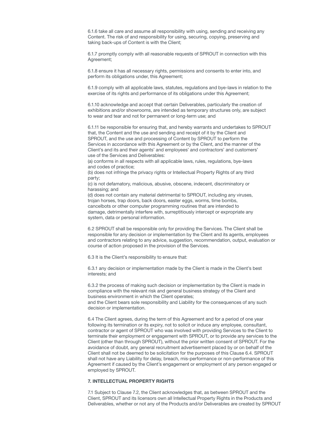6.1.6 take all care and assume all responsibility with using, sending and receiving any Content. The risk of and responsibility for using, securing, copying, preserving and taking back-ups of Content is with the Client;

6.1.7 promptly comply with all reasonable requests of SPROUT in connection with this Agreement;

6.1.8 ensure it has all necessary rights, permissions and consents to enter into, and perform its obligations under, this Agreement;

6.1.9 comply with all applicable laws, statutes, regulations and bye-laws in relation to the exercise of its rights and performance of its obligations under this Agreement;

6.1.10 acknowledge and accept that certain Deliverables, particularly the creation of exhibitions and/or showrooms, are intended as temporary structures only, are subject to wear and tear and not for permanent or long-term use; and

6.1.11 be responsible for ensuring that, and hereby warrants and undertakes to SPROUT that, the Content and the use and sending and receipt of it by the Client and SPROUT, and the use and processing of Content by SPROUT to perform the Services in accordance with this Agreement or by the Client, and the manner of the Client's and its and their agents' and employees' and contractors' and customers' use of the Services and Deliverables:

(a) conforms in all respects with all applicable laws, rules, regulations, bye-laws and codes of practice;

(b) does not infringe the privacy rights or Intellectual Property Rights of any third party;

(c) is not defamatory, malicious, abusive, obscene, indecent, discriminatory or harassing; and

(d) does not contain any material detrimental to SPROUT, including any viruses, trojan horses, trap doors, back doors, easter eggs, worms, time bombs, cancelbots or other computer programming routines that are intended to damage, detrimentally interfere with, surreptitiously intercept or expropriate any system, data or personal information.

6.2 SPROUT shall be responsible only for providing the Services. The Client shall be responsible for any decision or implementation by the Client and its agents, employees and contractors relating to any advice, suggestion, recommendation, output, evaluation or course of action proposed in the provision of the Services.

6.3 It is the Client's responsibility to ensure that:

6.3.1 any decision or implementation made by the Client is made in the Client's best interests; and

6.3.2 the process of making such decision or implementation by the Client is made in compliance with the relevant risk and general business strategy of the Client and business environment in which the Client operates;

and the Client bears sole responsibility and Liability for the consequences of any such decision or implementation.

6.4 The Client agrees, during the term of this Agreement and for a period of one year following its termination or its expiry, not to solicit or induce any employee, consultant, contractor or agent of SPROUT who was involved with providing Services to the Client to terminate their employment or engagement with SPROUT, or to provide any services to the Client (other than through SPROUT), without the prior written consent of SPROUT. For the avoidance of doubt, any general recruitment advertisement placed by or on behalf of the Client shall not be deemed to be solicitation for the purposes of this Clause 6.4. SPROUT shall not have any Liability for delay, breach, mis-performance or non-performance of this Agreement if caused by the Client's engagement or employment of any person engaged or employed by SPROUT.

## 7. INTELLECTUAL PROPERTY RIGHTS

7.1 Subject to Clause 7.2, the Client acknowledges that, as between SPROUT and the Client, SPROUT and its licensors own all Intellectual Property Rights in the Products and Deliverables, whether or not any of the Products and/or Deliverables are created by SPROUT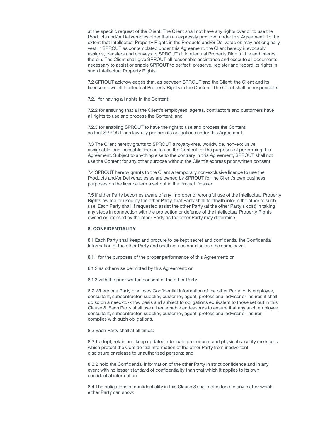at the specific request of the Client. The Client shall not have any rights over or to use the Products and/or Deliverables other than as expressly provided under this Agreement. To the extent that Intellectual Property Rights in the Products and/or Deliverables may not originally vest in SPROUT as contemplated under this Agreement, the Client hereby irrevocably assigns, transfers and conveys to SPROUT all Intellectual Property Rights, title and interest therein. The Client shall give SPROUT all reasonable assistance and execute all documents necessary to assist or enable SPROUT to perfect, preserve, register and record its rights in such Intellectual Property Rights.

7.2 SPROUT acknowledges that, as between SPROUT and the Client, the Client and its licensors own all Intellectual Property Rights in the Content. The Client shall be responsible:

7.2.1 for having all rights in the Content;

7.2.2 for ensuring that all the Client's employees, agents, contractors and customers have all rights to use and process the Content; and

7.2.3 for enabling SPROUT to have the right to use and process the Content; so that SPROUT can lawfully perform its obligations under this Agreement.

7.3 The Client hereby grants to SPROUT a royalty-free, worldwide, non-exclusive, assignable, sublicensable licence to use the Content for the purposes of performing this Agreement. Subject to anything else to the contrary in this Agreement, SPROUT shall not use the Content for any other purpose without the Client's express prior written consent.

7.4 SPROUT hereby grants to the Client a temporary non-exclusive licence to use the Products and/or Deliverables as are owned by SPROUT for the Client's own business purposes on the licence terms set out in the Project Dossier.

7.5 If either Party becomes aware of any improper or wrongful use of the Intellectual Property Rights owned or used by the other Party, that Party shall forthwith inform the other of such use. Each Party shall if requested assist the other Party (at the other Party's cost) in taking any steps in connection with the protection or defence of the Intellectual Property Rights owned or licensed by the other Party as the other Party may determine.

## 8. CONFIDENTIALITY

8.1 Each Party shall keep and procure to be kept secret and confidential the Confidential Information of the other Party and shall not use nor disclose the same save:

8.1.1 for the purposes of the proper performance of this Agreement; or

8.1.2 as otherwise permitted by this Agreement; or

8.1.3 with the prior written consent of the other Party.

8.2 Where one Party discloses Confidential Information of the other Party to its employee, consultant, subcontractor, supplier, customer, agent, professional adviser or insurer, it shall do so on a need-to-know basis and subject to obligations equivalent to those set out in this Clause 8. Each Party shall use all reasonable endeavours to ensure that any such employee, consultant, subcontractor, supplier, customer, agent, professional adviser or insurer complies with such obligations.

8.3 Each Party shall at all times:

8.3.1 adopt, retain and keep updated adequate procedures and physical security measures which protect the Confidential Information of the other Party from inadvertent disclosure or release to unauthorised persons; and

8.3.2 hold the Confidential Information of the other Party in strict confidence and in any event with no lesser standard of confidentiality than that which it applies to its own confidential information.

8.4 The obligations of confidentiality in this Clause 8 shall not extend to any matter which either Party can show: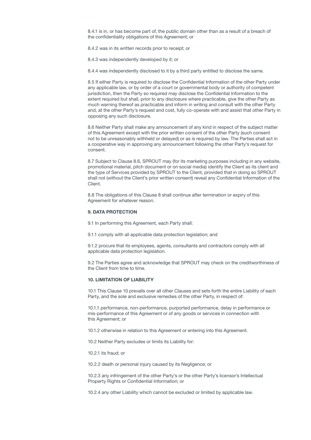8.4.1 is in, or has become part of, the public domain other than as a result of a breach of the confidentiality obligations of this Agreement; or

8.4.2 was in its written records prior to receipt; or

8.4.3 was independently developed by it; or

8.4.4 was independently disclosed to it by a third party entitled to disclose the same.

8.5 If either Party is required to disclose the Confidential Information of the other Party under any applicable law, or by order of a court or governmental body or authority of competent jurisdiction, then the Party so required may disclose the Confidential Information to the extent required but shall, prior to any disclosure where practicable, give the other Party as much warning thereof as practicable and inform in writing and consult with the other Party and, at the other Party's request and cost, fully co-operate with and assist that other Party in opposing any such disclosure.

8.6 Neither Party shall make any announcement of any kind in respect of the subject matter of this Agreement except with the prior written consent of the other Party (such consent not to be unreasonably withheld or delayed) or as is required by law. The Parties shall act in a cooperative way in approving any announcement following the other Party's request for consent.

8.7 Subject to Clause 8.6, SPROUT may (for its marketing purposes including in any website, promotional material, pitch document or on social media) identify the Client as its client and the type of Services provided by SPROUT to the Client, provided that in doing so SPROUT shall not (without the Client's prior written consent) reveal any Confidential Information of the Client.

8.8 The obligations of this Clause 8 shall continue after termination or expiry of this Agreement for whatever reason.

## 9. DATA PROTECTION

9.1 In performing this Agreement, each Party shall:

9.1.1 comply with all applicable data protection legislation; and

9.1.2 procure that its employees, agents, consultants and contractors comply with all applicable data protection legislation.

9.2 The Parties agree and acknowledge that SPROUT may check on the creditworthiness of the Client from time to time.

## 10. LIMITATION OF LIABILITY

10.1 This Clause 10 prevails over all other Clauses and sets forth the entire Liability of each Party, and the sole and exclusive remedies of the other Party, in respect of:

10.1.1 performance, non-performance, purported performance, delay in performance or mis-performance of this Agreement or of any goods or services in connection with this Agreement; or

10.1.2 otherwise in relation to this Agreement or entering into this Agreement.

10.2 Neither Party excludes or limits its Liability for:

10.2.1 its fraud; or

10.2.2 death or personal injury caused by its Negligence; or

10.2.3 any infringement of the other Party's or the other Party's licensor's Intellectual Property Rights or Confidential Information; or

10.2.4 any other Liability which cannot be excluded or limited by applicable law.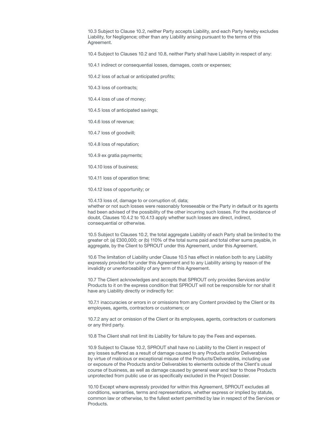10.3 Subject to Clause 10.2, neither Party accepts Liability, and each Party hereby excludes Liability, for Negligence; other than any Liability arising pursuant to the terms of this Agreement.

10.4 Subject to Clauses 10.2 and 10.8, neither Party shall have Liability in respect of any:

10.4.1 indirect or consequential losses, damages, costs or expenses;

10.4.2 loss of actual or anticipated profits;

10.4.3 loss of contracts;

10.4.4 loss of use of money;

10.4.5 loss of anticipated savings;

10.4.6 loss of revenue;

10.4.7 loss of goodwill;

10.4.8 loss of reputation;

10.4.9 ex gratia payments;

10.4.10 loss of business;

10.4.11 loss of operation time;

10.4.12 loss of opportunity; or

10.4.13 loss of, damage to or corruption of, data; whether or not such losses were reasonably foreseeable or the Party in default or its agents had been advised of the possibility of the other incurring such losses. For the avoidance of doubt, Clauses 10.4.2 to 10.4.13 apply whether such losses are direct, indirect, consequential or otherwise.

10.5 Subject to Clauses 10.2, the total aggregate Liability of each Party shall be limited to the greater of: (a) £300,000; or (b) 110% of the total sums paid and total other sums payable, in aggregate, by the Client to SPROUT under this Agreement, under this Agreement.

10.6 The limitation of Liability under Clause 10.5 has effect in relation both to any Liability expressly provided for under this Agreement and to any Liability arising by reason of the invalidity or unenforceability of any term of this Agreement.

10.7 The Client acknowledges and accepts that SPROUT only provides Services and/or Products to it on the express condition that SPROUT will not be responsible for nor shall it have any Liability directly or indirectly for:

10.7.1 inaccuracies or errors in or omissions from any Content provided by the Client or its employees, agents, contractors or customers; or

10.7.2 any act or omission of the Client or its employees, agents, contractors or customers or any third party.

10.8 The Client shall not limit its Liability for failure to pay the Fees and expenses.

10.9 Subject to Clause 10.2, SPROUT shall have no Liability to the Client in respect of any losses suffered as a result of damage caused to any Products and/or Deliverables by virtue of malicious or exceptional misuse of the Products/Deliverables, including use or exposure of the Products and/or Deliverables to elements outside of the Client's usual course of business, as well as damage caused by general wear and tear to those Products unprotected from public use or as specifically excluded in the Project Dossier.

10.10 Except where expressly provided for within this Agreement, SPROUT excludes all conditions, warranties, terms and representations, whether express or implied by statute, common law or otherwise, to the fullest extent permitted by law in respect of the Services or Products.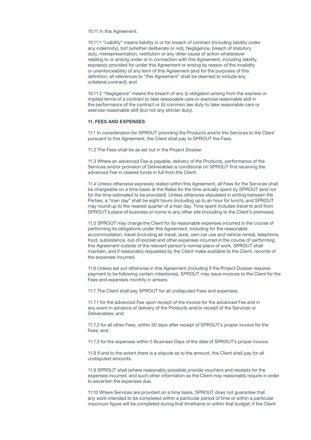10.11 In this Agreement:

10.11.1 "Liability" means liability in or for breach of contract (including liability under any indemnity), tort (whether deliberate or not), Negligence, breach of statutory duty, misrepresentation, restitution or any other cause of action whatsoever relating to or arising under or in connection with this Agreement, including liability expressly provided for under this Agreement or arising by reason of the invalidity or unenforceability of any term of this Agreement (and for the purposes of this definition, all references to "this Agreement" shall be deemed to include any collateral contract); and

10.11.2 "Negligence" means the breach of any (i) obligation arising from the express or implied terms of a contract to take reasonable care or exercise reasonable skill in the performance of the contract or (ii) common law duty to take reasonable care or exercise reasonable skill (but not any stricter duty).

#### 11. FEES AND EXPENSES

11.1 In consideration for SPROUT providing the Products and/or the Services to the Client pursuant to this Agreement, the Client shall pay to SPROUT the Fees.

11.2 The Fees shall be as set out in the Project Dossier.

11.3 Where an advanced Fee is payable, delivery of the Products, performance of the Services and/or provision of Deliverables is conditional on SPROUT first receiving the advanced Fee in cleared funds in full from the Client.

11.4 Unless otherwise expressly stated within this Agreement, all Fees for the Services shall be chargeable on a time basis at the Rates for the time actually spent by SPROUT (and not for the time estimated to be provided). Unless otherwise stipulated in writing between the Parties, a "man day" shall be eight hours (including up to an hour for lunch); and SPROUT may round up to the nearest quarter of a man day. Time spent includes travel to and from SPROUT's place of business or home to any other site (including to the Client's premises).

11.5 SPROUT may charge the Client for its reasonable expenses incurred in the course of performing its obligations under this Agreement, including for the reasonable accommodation, travel (including air travel, taxis, own car use and vehicle rental), telephone, food, subsistence, out-of-pocket and other expenses incurred in the course of performing this Agreement outside of the relevant person's normal place of work. SPROUT shall maintain, and if reasonably requested by the Client make available to the Client, records of the expenses incurred.

11.6 Unless set out otherwise in this Agreement (including if the Project Dossier requires payment to be following certain milestones), SPROUT may issue invoices to the Client for the Fees and expenses monthly in arrears.

11.7 The Client shall pay SPROUT for all undisputed Fees and expenses:

11.7.1 for the advanced Fee upon receipt of the invoice for the advanced Fee and in any event in advance of delivery of the Products and/or receipt of the Services or Deliverables; and

11.7.2 for all other Fees, within 30 days after receipt of SPROUT's proper invoice for the Fees; and

11.7.3 for the expenses within 5 Business Days of the date of SPROUT's proper invoice.

11.8 If and to the extent there is a dispute as to the amount, the Client shall pay for all undisputed amounts.

11.9 SPROUT shall (where reasonably possible) provide vouchers and receipts for the expenses incurred, and such other information as the Client may reasonably require in order to ascertain the expenses due.

11.10 Where Services are provided on a time basis, SPROUT does not guarantee that any work intended to be completed within a particular period of time or within a particular maximum figure will be completed during that timeframe or within that budget; if the Client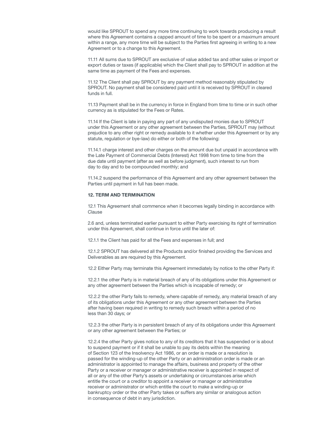would like SPROUT to spend any more time continuing to work towards producing a result where this Agreement contains a capped amount of time to be spent or a maximum amount within a range, any more time will be subject to the Parties first agreeing in writing to a new Agreement or to a change to this Agreement.

11.11 All sums due to SPROUT are exclusive of value added tax and other sales or import or export duties or taxes (if applicable) which the Client shall pay to SPROUT in addition at the same time as payment of the Fees and expenses.

11.12 The Client shall pay SPROUT by any payment method reasonably stipulated by SPROUT. No payment shall be considered paid until it is received by SPROUT in cleared funds in full.

11.13 Payment shall be in the currency in force in England from time to time or in such other currency as is stipulated for the Fees or Rates.

11.14 If the Client is late in paying any part of any undisputed monies due to SPROUT under this Agreement or any other agreement between the Parties, SPROUT may (without prejudice to any other right or remedy available to it whether under this Agreement or by any statute, regulation or bye-law) do either or both of the following:

11.14.1 charge interest and other charges on the amount due but unpaid in accordance with the Late Payment of Commercial Debts (Interest) Act 1998 from time to time from the due date until payment (after as well as before judgment), such interest to run from day to day and to be compounded monthly; and

11.14.2 suspend the performance of this Agreement and any other agreement between the Parties until payment in full has been made.

#### 12. TERM AND TERMINATION

12.1 This Agreement shall commence when it becomes legally binding in accordance with Clause

2.6 and, unless terminated earlier pursuant to either Party exercising its right of termination under this Agreement, shall continue in force until the later of:

12.1.1 the Client has paid for all the Fees and expenses in full; and

12.1.2 SPROUT has delivered all the Products and/or finished providing the Services and Deliverables as are required by this Agreement.

12.2 Either Party may terminate this Agreement immediately by notice to the other Party if:

12.2.1 the other Party is in material breach of any of its obligations under this Agreement or any other agreement between the Parties which is incapable of remedy; or

12.2.2 the other Party fails to remedy, where capable of remedy, any material breach of any of its obligations under this Agreement or any other agreement between the Parties after having been required in writing to remedy such breach within a period of no less than 30 days; or

12.2.3 the other Party is in persistent breach of any of its obligations under this Agreement or any other agreement between the Parties; or

12.2.4 the other Party gives notice to any of its creditors that it has suspended or is about to suspend payment or if it shall be unable to pay its debts within the meaning of Section 123 of the Insolvency Act 1986, or an order is made or a resolution is passed for the winding-up of the other Party or an administration order is made or an administrator is appointed to manage the affairs, business and property of the other Party or a receiver or manager or administrative receiver is appointed in respect of all or any of the other Party's assets or undertaking or circumstances arise which entitle the court or a creditor to appoint a receiver or manager or administrative receiver or administrator or which entitle the court to make a winding-up or bankruptcy order or the other Party takes or suffers any similar or analogous action in consequence of debt in any jurisdiction.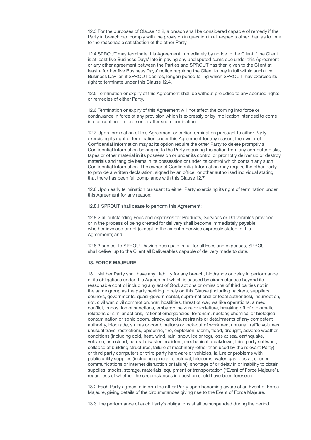12.3 For the purposes of Clause 12.2, a breach shall be considered capable of remedy if the Party in breach can comply with the provision in question in all respects other than as to time to the reasonable satisfaction of the other Party.

12.4 SPROUT may terminate this Agreement immediately by notice to the Client if the Client is at least five Business Days' late in paying any undisputed sums due under this Agreement or any other agreement between the Parties and SPROUT has then given to the Client at least a further five Business Days' notice requiring the Client to pay in full within such five Business Day (or, if SPROUT desires, longer) period failing which SPROUT may exercise its right to terminate under this Clause 12.4.

12.5 Termination or expiry of this Agreement shall be without prejudice to any accrued rights or remedies of either Party.

12.6 Termination or expiry of this Agreement will not affect the coming into force or continuance in force of any provision which is expressly or by implication intended to come into or continue in force on or after such termination.

12.7 Upon termination of this Agreement or earlier termination pursuant to either Party exercising its right of termination under this Agreement for any reason, the owner of Confidential Information may at its option require the other Party to delete promptly all Confidential Information belonging to the Party requiring the action from any computer disks, tapes or other material in its possession or under its control or promptly deliver up or destroy materials and tangible items in its possession or under its control which contain any such Confidential Information. The owner of Confidential Information may require the other Party to provide a written declaration, signed by an officer or other authorised individual stating that there has been full compliance with this Clause 12.7.

12.8 Upon early termination pursuant to either Party exercising its right of termination under this Agreement for any reason:

12.8.1 SPROUT shall cease to perform this Agreement;

12.8.2 all outstanding Fees and expenses for Products, Services or Deliverables provided or in the process of being created for delivery shall become immediately payable, whether invoiced or not (except to the extent otherwise expressly stated in this Agreement); and

12.8.3 subject to SPROUT having been paid in full for all Fees and expenses, SPROUT shall deliver up to the Client all Deliverables capable of delivery made to date.

## 13. FORCE MAJEURE

13.1 Neither Party shall have any Liability for any breach, hindrance or delay in performance of its obligations under this Agreement which is caused by circumstances beyond its reasonable control including any act of God, actions or omissions of third parties not in the same group as the party seeking to rely on this Clause (including hackers, suppliers, couriers, governments, quasi-governmental, supra-national or local authorities), insurrection, riot, civil war, civil commotion, war, hostilities, threat of war, warlike operations, armed conflict, imposition of sanctions, embargo, seizure or forfeiture, breaking off of diplomatic relations or similar actions, national emergencies, terrorism, nuclear, chemical or biological contamination or sonic boom, piracy, arrests, restraints or detainments of any competent authority, blockade, strikes or combinations or lock-out of workmen, unusual traffic volumes, unusual travel restrictions, epidemic, fire, explosion, storm, flood, drought, adverse weather conditions (including cold, heat, wind, rain, snow, ice or fog), loss at sea, earthquake, volcano, ash cloud, natural disaster, accident, mechanical breakdown, third party software, collapse of building structures, failure of machinery (other than used by the relevant Party) or third party computers or third party hardware or vehicles, failure or problems with public utility supplies (including general: electrical, telecoms, water, gas, postal, courier, communications or Internet disruption or failure), shortage of or delay in or inability to obtain supplies, stocks, storage, materials, equipment or transportation ("Event of Force Majeure"), regardless of whether the circumstances in question could have been foreseen.

13.2 Each Party agrees to inform the other Party upon becoming aware of an Event of Force Majeure, giving details of the circumstances giving rise to the Event of Force Majeure.

13.3 The performance of each Party's obligations shall be suspended during the period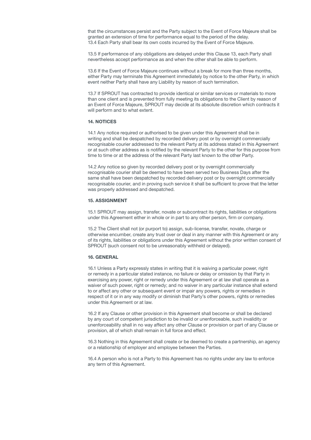that the circumstances persist and the Party subject to the Event of Force Majeure shall be granted an extension of time for performance equal to the period of the delay. 13.4 Each Party shall bear its own costs incurred by the Event of Force Majeure.

13.5 If performance of any obligations are delayed under this Clause 13, each Party shall nevertheless accept performance as and when the other shall be able to perform.

13.6 If the Event of Force Majeure continues without a break for more than three months, either Party may terminate this Agreement immediately by notice to the other Party, in which event neither Party shall have any Liability by reason of such termination.

13.7 If SPROUT has contracted to provide identical or similar services or materials to more than one client and is prevented from fully meeting its obligations to the Client by reason of an Event of Force Majeure, SPROUT may decide at its absolute discretion which contracts it will perform and to what extent.

#### 14. NOTICES

14.1 Any notice required or authorised to be given under this Agreement shall be in writing and shall be despatched by recorded delivery post or by overnight commercially recognisable courier addressed to the relevant Party at its address stated in this Agreement or at such other address as is notified by the relevant Party to the other for this purpose from time to time or at the address of the relevant Party last known to the other Party.

14.2 Any notice so given by recorded delivery post or by overnight commercially recognisable courier shall be deemed to have been served two Business Days after the same shall have been despatched by recorded delivery post or by overnight commercially recognisable courier, and in proving such service it shall be sufficient to prove that the letter was properly addressed and despatched.

#### 15. ASSIGNMENT

15.1 SPROUT may assign, transfer, novate or subcontract its rights, liabilities or obligations under this Agreement either in whole or in part to any other person, firm or company.

15.2 The Client shall not (or purport to) assign, sub-license, transfer, novate, charge or otherwise encumber, create any trust over or deal in any manner with this Agreement or any of its rights, liabilities or obligations under this Agreement without the prior written consent of SPROUT (such consent not to be unreasonably withheld or delayed).

## 16. GENERAL

16.1 Unless a Party expressly states in writing that it is waiving a particular power, right or remedy in a particular stated instance, no failure or delay or omission by that Party in exercising any power, right or remedy under this Agreement or at law shall operate as a waiver of such power, right or remedy; and no waiver in any particular instance shall extend to or affect any other or subsequent event or impair any powers, rights or remedies in respect of it or in any way modify or diminish that Party's other powers, rights or remedies under this Agreement or at law.

16.2 If any Clause or other provision in this Agreement shall become or shall be declared by any court of competent jurisdiction to be invalid or unenforceable, such invalidity or unenforceability shall in no way affect any other Clause or provision or part of any Clause or provision, all of which shall remain in full force and effect.

16.3 Nothing in this Agreement shall create or be deemed to create a partnership, an agency or a relationship of employer and employee between the Parties.

16.4 A person who is not a Party to this Agreement has no rights under any law to enforce any term of this Agreement.